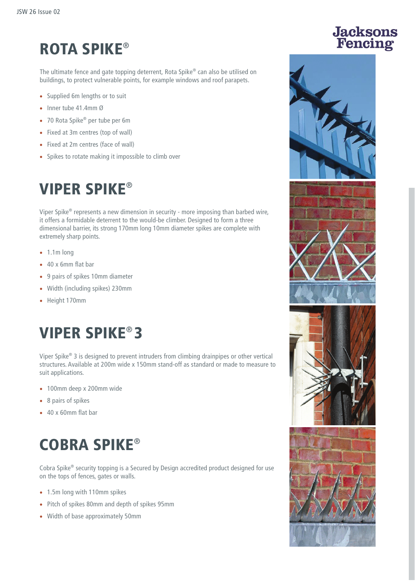# ROTA SPIKE®

The ultimate fence and gate topping deterrent, Rota Spike® can also be utilised on buildings, to protect vulnerable points, for example windows and roof parapets.

- Supplied 6m lengths or to suit
- Inner tube 41.4mm Ø
- 70 Rota Spike® per tube per 6m
- Fixed at 3m centres (top of wall)
- Fixed at 2m centres (face of wall)
- Spikes to rotate making it impossible to climb over

## VIPER SPIKE®

Viper Spike® represents a new dimension in security - more imposing than barbed wire, it offers a formidable deterrent to the would-be climber. Designed to form a three dimensional barrier, its strong 170mm long 10mm diameter spikes are complete with extremely sharp points.

- 1.1m long
- 40 x 6mm flat bar
- 9 pairs of spikes 10mm diameter
- Width (including spikes) 230mm
- Height 170mm

## VIPER SPIKE® 3

Viper Spike® 3 is designed to prevent intruders from climbing drainpipes or other vertical structures. Available at 200m wide x 150mm stand-off as standard or made to measure to suit applications.

- 100mm deep x 200mm wide
- 8 pairs of spikes
- 40 x 60mm flat bar

# COBRA SPIKE®

Cobra Spike® security topping is a Secured by Design accredited product designed for use on the tops of fences, gates or walls.

- 1.5m long with 110mm spikes
- Pitch of spikes 80mm and depth of spikes 95mm
- Width of base approximately 50mm

# **Jacksons**<br>Fencing